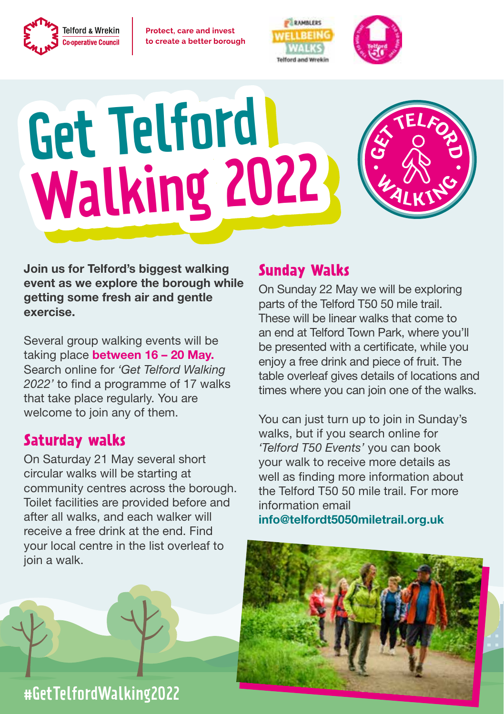

**Protect, care and invest** to create a better borough





 $G \times T$ **E** 

**<sup>W</sup> <sup>A</sup>LKIN<sup>G</sup>**

# Get Telford Walking 2022



Several group walking events will be taking place between 16 - 20 May. Search online for *'Get Telford Walking 2022'* to find a programme of 17 walks that take place regularly. You are welcome to join any of them.

#### **Saturday walks**

On Saturday 21 May several short circular walks will be starting at community centres across the borough. Toilet facilities are provided before and after all walks, and each walker will receive a free drink at the end. Find your local centre in the list overleaf to join a walk.



## #GetTelfordWalking2022

### **Sunday Walks**

On Sunday 22 May we will be exploring parts of the Telford T50 50 mile trail. These will be linear walks that come to an end at Telford Town Park, where you'll be presented with a certificate, while you enjoy a free drink and piece of fruit. The table overleaf gives details of locations and times where you can join one of the walks.

You can just turn up to join in Sunday's walks, but if you search online for *'Telford T50 Events'* you can book your walk to receive more details as well as finding more information about the Telford T50 50 mile trail. For more information email

info@telfordt5050miletrail.org.uk